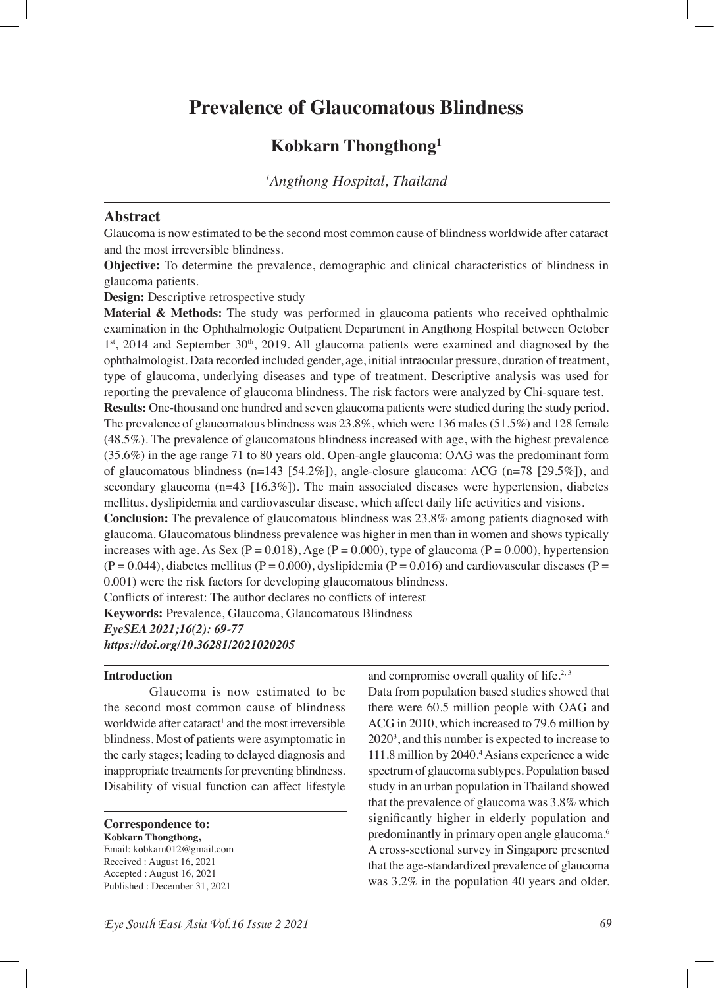# **Prevalence of Glaucomatous Blindness**

## **Kobkarn Thongthong1**

*1 Angthong Hospital, Thailand*

## **Abstract**

Glaucoma is now estimated to be the second most common cause of blindness worldwide after cataract and the most irreversible blindness.

**Objective:** To determine the prevalence, demographic and clinical characteristics of blindness in glaucoma patients.

**Design:** Descriptive retrospective study

**Material & Methods:** The study was performed in glaucoma patients who received ophthalmic examination in the Ophthalmologic Outpatient Department in Angthong Hospital between October  $1<sup>st</sup>$ , 2014 and September 30<sup>th</sup>, 2019. All glaucoma patients were examined and diagnosed by the ophthalmologist. Data recorded included gender, age, initial intraocular pressure, duration of treatment, type of glaucoma, underlying diseases and type of treatment. Descriptive analysis was used for reporting the prevalence of glaucoma blindness. The risk factors were analyzed by Chi-square test. **Results:** One-thousand one hundred and seven glaucoma patients were studied during the study period. The prevalence of glaucomatous blindness was 23.8%, which were 136 males (51.5%) and 128 female (48.5%). The prevalence of glaucomatous blindness increased with age, with the highest prevalence (35.6%) in the age range 71 to 80 years old. Open-angle glaucoma: OAG was the predominant form of glaucomatous blindness  $(n=143 \mid 54.2\%)$ , angle-closure glaucoma: ACG  $(n=78 \mid 29.5\%)$ , and secondary glaucoma (n=43 [16.3%]). The main associated diseases were hypertension, diabetes mellitus, dyslipidemia and cardiovascular disease, which affect daily life activities and visions.

**Conclusion:** The prevalence of glaucomatous blindness was 23.8% among patients diagnosed with glaucoma. Glaucomatous blindness prevalence was higher in men than in women and shows typically increases with age. As Sex ( $P = 0.018$ ), Age ( $P = 0.000$ ), type of glaucoma ( $P = 0.000$ ), hypertension  $(P = 0.044)$ , diabetes mellitus ( $P = 0.000$ ), dyslipidemia ( $P = 0.016$ ) and cardiovascular diseases ( $P = 0.044$ ) 0.001) were the risk factors for developing glaucomatous blindness.

Conficts of interest: The author declares no conficts of interest

**Keywords:** Prevalence, Glaucoma, Glaucomatous Blindness

*EyeSEA 2021;16(2): 69-77*

*https://doi.org/10.36281/2021020205*

#### **Introduction**

Glaucoma is now estimated to be the second most common cause of blindness worldwide after cataract<sup>1</sup> and the most irreversible blindness. Most of patients were asymptomatic in the early stages; leading to delayed diagnosis and inappropriate treatments for preventing blindness. Disability of visual function can affect lifestyle

**Correspondence to:**

**Kobkarn Thongthong,**  Email: kobkarn012@gmail.com Received : August 16, 2021 Accepted : August 16, 2021 Published : December 31, 2021

and compromise overall quality of life. $2,3$ 

Data from population based studies showed that there were 60.5 million people with OAG and ACG in 2010, which increased to 79.6 million by 20203 , and this number is expected to increase to 111.8 million by 2040.<sup>4</sup> Asians experience a wide spectrum of glaucoma subtypes. Population based study in an urban population in Thailand showed that the prevalence of glaucoma was 3.8% which signifcantly higher in elderly population and predominantly in primary open angle glaucoma.6 A cross-sectional survey in Singapore presented that the age-standardized prevalence of glaucoma was 3.2% in the population 40 years and older.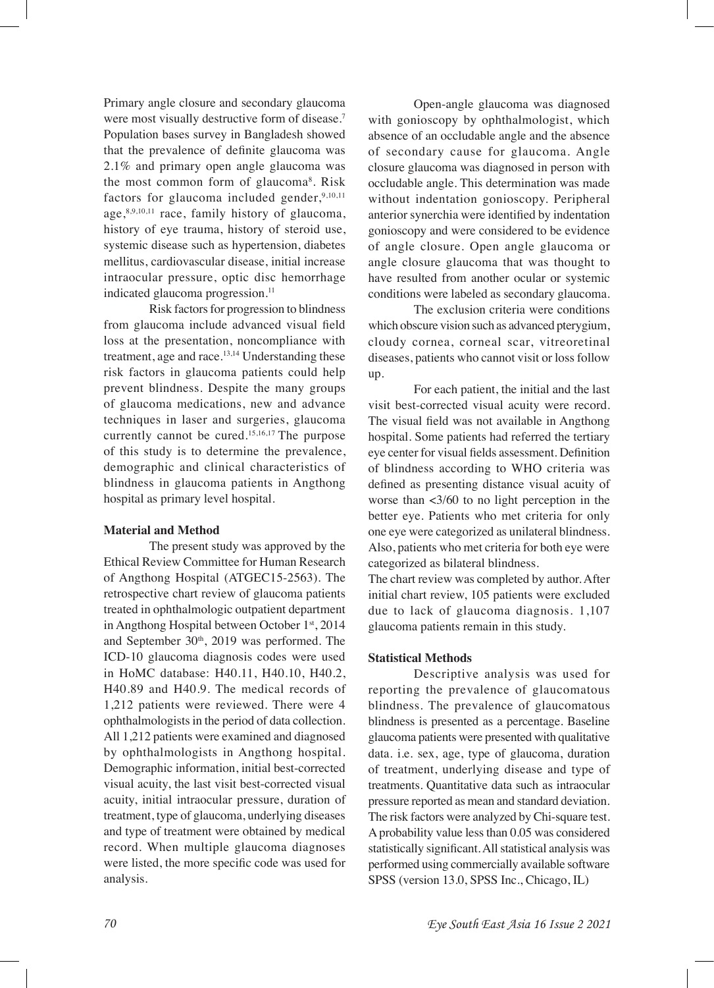Primary angle closure and secondary glaucoma were most visually destructive form of disease.<sup>7</sup> Population bases survey in Bangladesh showed that the prevalence of defnite glaucoma was 2.1% and primary open angle glaucoma was the most common form of glaucoma<sup>8</sup>. Risk factors for glaucoma included gender, $9,10,11$ age, 8,9,10,11 race, family history of glaucoma, history of eye trauma, history of steroid use, systemic disease such as hypertension, diabetes mellitus, cardiovascular disease, initial increase intraocular pressure, optic disc hemorrhage indicated glaucoma progression.<sup>11</sup>

Risk factors for progression to blindness from glaucoma include advanced visual feld loss at the presentation, noncompliance with treatment, age and race.<sup>13,14</sup> Understanding these risk factors in glaucoma patients could help prevent blindness. Despite the many groups of glaucoma medications, new and advance techniques in laser and surgeries, glaucoma currently cannot be cured.15,16,17 The purpose of this study is to determine the prevalence, demographic and clinical characteristics of blindness in glaucoma patients in Angthong hospital as primary level hospital.

#### **Material and Method**

The present study was approved by the Ethical Review Committee for Human Research of Angthong Hospital (ATGEC15-2563). The retrospective chart review of glaucoma patients treated in ophthalmologic outpatient department in Angthong Hospital between October 1st, 2014 and September 30<sup>th</sup>, 2019 was performed. The ICD-10 glaucoma diagnosis codes were used in HoMC database: H40.11, H40.10, H40.2, H40.89 and H40.9. The medical records of 1,212 patients were reviewed. There were 4 ophthalmologists in the period of data collection. All 1,212 patients were examined and diagnosed by ophthalmologists in Angthong hospital. Demographic information, initial best-corrected visual acuity, the last visit best-corrected visual acuity, initial intraocular pressure, duration of treatment, type of glaucoma, underlying diseases and type of treatment were obtained by medical record. When multiple glaucoma diagnoses were listed, the more specifc code was used for analysis.

Open-angle glaucoma was diagnosed with gonioscopy by ophthalmologist, which absence of an occludable angle and the absence of secondary cause for glaucoma. Angle closure glaucoma was diagnosed in person with occludable angle. This determination was made without indentation gonioscopy. Peripheral anterior synerchia were identifed by indentation gonioscopy and were considered to be evidence of angle closure. Open angle glaucoma or angle closure glaucoma that was thought to have resulted from another ocular or systemic conditions were labeled as secondary glaucoma.

The exclusion criteria were conditions which obscure vision such as advanced pterygium, cloudy cornea, corneal scar, vitreoretinal diseases, patients who cannot visit or loss follow up.

For each patient, the initial and the last visit best-corrected visual acuity were record. The visual feld was not available in Angthong hospital. Some patients had referred the tertiary eye center for visual felds assessment. Defnition of blindness according to WHO criteria was defned as presenting distance visual acuity of worse than <3/60 to no light perception in the better eye. Patients who met criteria for only one eye were categorized as unilateral blindness. Also, patients who met criteria for both eye were categorized as bilateral blindness.

The chart review was completed by author. After initial chart review, 105 patients were excluded due to lack of glaucoma diagnosis. 1,107 glaucoma patients remain in this study.

#### **Statistical Methods**

Descriptive analysis was used for reporting the prevalence of glaucomatous blindness. The prevalence of glaucomatous blindness is presented as a percentage. Baseline glaucoma patients were presented with qualitative data. i.e. sex, age, type of glaucoma, duration of treatment, underlying disease and type of treatments. Quantitative data such as intraocular pressure reported as mean and standard deviation. The risk factors were analyzed by Chi-square test. A probability value less than 0.05 was considered statistically signifcant. All statistical analysis was performed using commercially available software SPSS (version 13.0, SPSS Inc., Chicago, IL)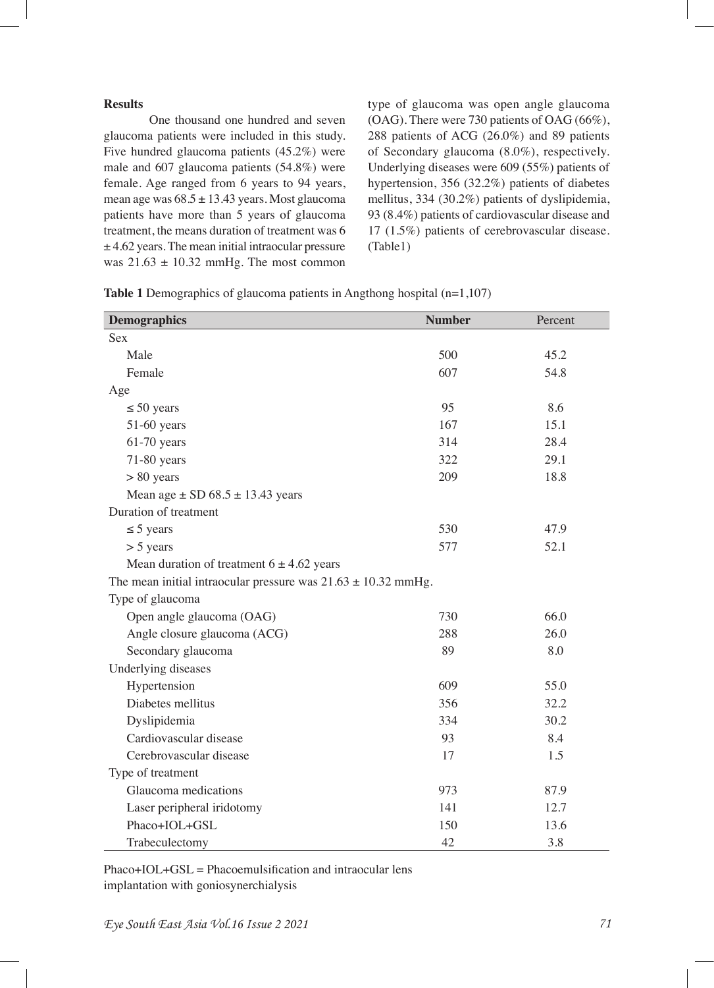#### **Results**

One thousand one hundred and seven glaucoma patients were included in this study. Five hundred glaucoma patients (45.2%) were male and 607 glaucoma patients (54.8%) were female. Age ranged from 6 years to 94 years, mean age was  $68.5 \pm 13.43$  years. Most glaucoma patients have more than 5 years of glaucoma treatment, the means duration of treatment was 6  $±$  4.62 years. The mean initial intraocular pressure was  $21.63 \pm 10.32$  mmHg. The most common

type of glaucoma was open angle glaucoma (OAG). There were 730 patients of OAG (66%), 288 patients of ACG (26.0%) and 89 patients of Secondary glaucoma (8.0%), respectively. Underlying diseases were 609 (55%) patients of hypertension, 356 (32.2%) patients of diabetes mellitus, 334 (30.2%) patients of dyslipidemia, 93 (8.4%) patients of cardiovascular disease and 17 (1.5%) patients of cerebrovascular disease. (Table1)

| <b>Demographics</b>                                               | <b>Number</b> | Percent |
|-------------------------------------------------------------------|---------------|---------|
| <b>Sex</b>                                                        |               |         |
| Male                                                              | 500           | 45.2    |
| Female                                                            | 607           | 54.8    |
| Age                                                               |               |         |
| $\leq 50$ years                                                   | 95            | 8.6     |
| 51-60 years                                                       | 167           | 15.1    |
| $61-70$ years                                                     | 314           | 28.4    |
| 71-80 years                                                       | 322           | 29.1    |
| $> 80$ years                                                      | 209           | 18.8    |
| Mean age $\pm$ SD 68.5 $\pm$ 13.43 years                          |               |         |
| Duration of treatment                                             |               |         |
| $\leq$ 5 years                                                    | 530           | 47.9    |
| $> 5$ years                                                       | 577           | 52.1    |
| Mean duration of treatment $6 \pm 4.62$ years                     |               |         |
| The mean initial intraocular pressure was $21.63 \pm 10.32$ mmHg. |               |         |
| Type of glaucoma                                                  |               |         |
| Open angle glaucoma (OAG)                                         | 730           | 66.0    |
| Angle closure glaucoma (ACG)                                      | 288           | 26.0    |
| Secondary glaucoma                                                | 89            | 8.0     |
| Underlying diseases                                               |               |         |
| Hypertension                                                      | 609           | 55.0    |
| Diabetes mellitus                                                 | 356           | 32.2    |
| Dyslipidemia                                                      | 334           | 30.2    |
| Cardiovascular disease                                            | 93            | 8.4     |
| Cerebrovascular disease                                           | 17            | 1.5     |
| Type of treatment                                                 |               |         |
| Glaucoma medications                                              | 973           | 87.9    |
| Laser peripheral iridotomy                                        | 141           | 12.7    |
| Phaco+IOL+GSL                                                     | 150           | 13.6    |
| Trabeculectomy                                                    | 42            | 3.8     |

**Table 1** Demographics of glaucoma patients in Angthong hospital (n=1,107)

Phaco+IOL+GSL = Phacoemulsifcation and intraocular lens implantation with goniosynerchialysis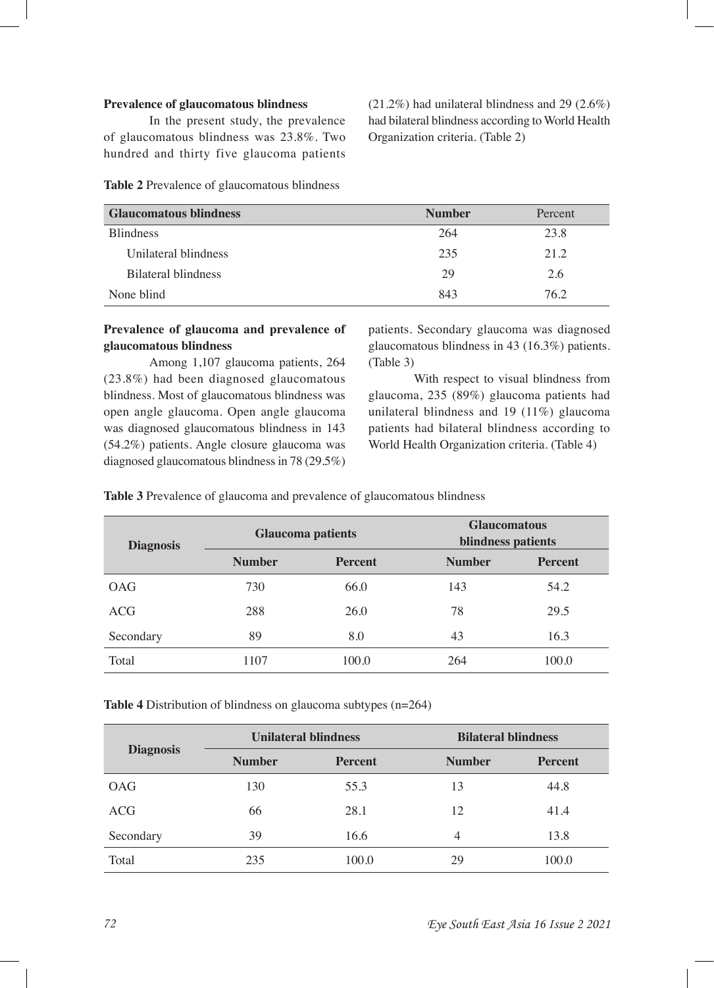#### **Prevalence of glaucomatous blindness**

In the present study, the prevalence of glaucomatous blindness was 23.8%. Two hundred and thirty five glaucoma patients

(21.2%) had unilateral blindness and 29 (2.6%) had bilateral blindness according to World Health Organization criteria. (Table 2)

| <b>Glaucomatous blindness</b> | <b>Number</b> | Percent |
|-------------------------------|---------------|---------|
| <b>Blindness</b>              | 264           | 23.8    |
| Unilateral blindness          | 235           | 21.2    |
| Bilateral blindness           | 29            | 2.6     |
| None blind                    | 843           | 76 2    |

**Table 2** Prevalence of glaucomatous blindness

### **Prevalence of glaucoma and prevalence of glaucomatous blindness**

Among 1,107 glaucoma patients, 264 (23.8%) had been diagnosed glaucomatous blindness. Most of glaucomatous blindness was open angle glaucoma. Open angle glaucoma was diagnosed glaucomatous blindness in 143 (54.2%) patients. Angle closure glaucoma was diagnosed glaucomatous blindness in 78 (29.5%)

patients. Secondary glaucoma was diagnosed glaucomatous blindness in 43 (16.3%) patients. (Table 3)

With respect to visual blindness from glaucoma, 235 (89%) glaucoma patients had unilateral blindness and 19 (11%) glaucoma patients had bilateral blindness according to World Health Organization criteria. (Table 4)

**Table 3** Prevalence of glaucoma and prevalence of glaucomatous blindness

| <b>Diagnosis</b> | <b>Glaucoma patients</b> |                | <b>Glaucomatous</b><br>blindness patients |                |
|------------------|--------------------------|----------------|-------------------------------------------|----------------|
|                  | <b>Number</b>            | <b>Percent</b> | <b>Number</b>                             | <b>Percent</b> |
| OAG              | 730                      | 66.0           | 143                                       | 54.2           |
| <b>ACG</b>       | 288                      | 26.0           | 78                                        | 29.5           |
| Secondary        | 89                       | 8.0            | 43                                        | 16.3           |
| Total            | 1107                     | 100.0          | 264                                       | 100.0          |

**Table 4** Distribution of blindness on glaucoma subtypes (n=264)

| <b>Diagnosis</b> | <b>Unilateral blindness</b> |                | <b>Bilateral blindness</b> |         |
|------------------|-----------------------------|----------------|----------------------------|---------|
|                  | <b>Number</b>               | <b>Percent</b> | <b>Number</b>              | Percent |
| <b>OAG</b>       | 130                         | 55.3           | 13                         | 44.8    |
| <b>ACG</b>       | 66                          | 28.1           | 12                         | 41.4    |
| Secondary        | 39                          | 16.6           | 4                          | 13.8    |
| Total            | 235                         | 100.0          | 29                         | 100.0   |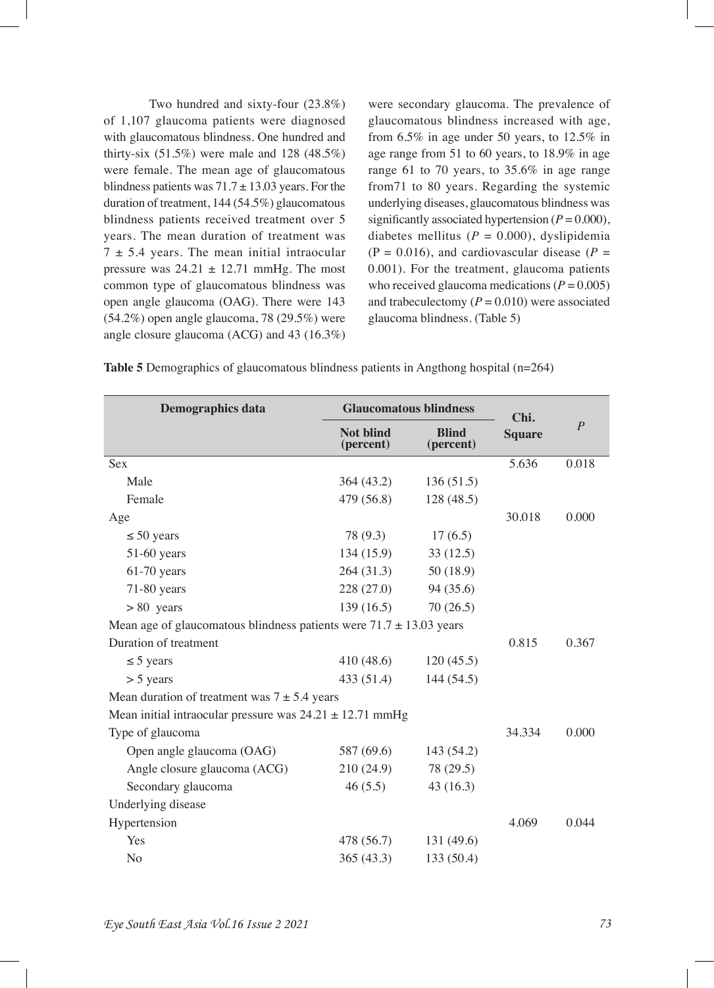Two hundred and sixty-four (23.8%) of 1,107 glaucoma patients were diagnosed with glaucomatous blindness. One hundred and thirty-six (51.5%) were male and 128 (48.5%) were female. The mean age of glaucomatous blindness patients was  $71.7 \pm 13.03$  years. For the duration of treatment, 144 (54.5%) glaucomatous blindness patients received treatment over 5 years. The mean duration of treatment was  $7 \pm 5.4$  years. The mean initial intraocular pressure was  $24.21 \pm 12.71$  mmHg. The most common type of glaucomatous blindness was open angle glaucoma (OAG). There were 143 (54.2%) open angle glaucoma, 78 (29.5%) were angle closure glaucoma (ACG) and 43 (16.3%)

were secondary glaucoma. The prevalence of glaucomatous blindness increased with age, from 6.5% in age under 50 years, to 12.5% in age range from 51 to 60 years, to 18.9% in age range 61 to 70 years, to 35.6% in age range from71 to 80 years. Regarding the systemic underlying diseases, glaucomatous blindness was significantly associated hypertension  $(P = 0.000)$ , diabetes mellitus  $(P = 0.000)$ , dyslipidemia  $(P = 0.016)$ , and cardiovascular disease  $(P = 0.016)$ 0.001). For the treatment, glaucoma patients who received glaucoma medications ( $P = 0.005$ ) and trabeculectomy  $(P = 0.010)$  were associated glaucoma blindness. (Table 5)

| <b>Table 5</b> Demographics of glaucomatous blindness patients in Angthong hospital $(n=264)$ |  |  |
|-----------------------------------------------------------------------------------------------|--|--|
|                                                                                               |  |  |

| <b>Demographics data</b>                                                | <b>Glaucomatous blindness</b> |                           | Chi.          |                |
|-------------------------------------------------------------------------|-------------------------------|---------------------------|---------------|----------------|
|                                                                         | <b>Not blind</b><br>(percent) | <b>Blind</b><br>(percent) | <b>Square</b> | $\overline{P}$ |
| Sex                                                                     |                               |                           | 5.636         | 0.018          |
| Male                                                                    | 364 (43.2)                    | 136(51.5)                 |               |                |
| Female                                                                  | 479 (56.8)                    | 128 (48.5)                |               |                |
| Age                                                                     |                               |                           | 30.018        | 0.000          |
| $\leq 50$ years                                                         | 78 (9.3)                      | 17(6.5)                   |               |                |
| $51-60$ years                                                           | 134 (15.9)                    | 33(12.5)                  |               |                |
| $61-70$ years                                                           | 264 (31.3)                    | 50 (18.9)                 |               |                |
| $71-80$ years                                                           | 228 (27.0)                    | 94 (35.6)                 |               |                |
| $> 80$ years                                                            | 139(16.5)                     | 70(26.5)                  |               |                |
| Mean age of glaucomatous blindness patients were $71.7 \pm 13.03$ years |                               |                           |               |                |
| Duration of treatment                                                   |                               |                           | 0.815         | 0.367          |
| $\leq$ 5 years                                                          | 410 (48.6)                    | 120(45.5)                 |               |                |
| $> 5$ years                                                             | 433 (51.4)                    | 144 (54.5)                |               |                |
| Mean duration of treatment was $7 \pm 5.4$ years                        |                               |                           |               |                |
| Mean initial intraocular pressure was $24.21 \pm 12.71$ mmHg            |                               |                           |               |                |
| Type of glaucoma                                                        |                               |                           | 34.334        | 0.000          |
| Open angle glaucoma (OAG)                                               | 587 (69.6)                    | 143 (54.2)                |               |                |
| Angle closure glaucoma (ACG)                                            | 210 (24.9)                    | 78 (29.5)                 |               |                |
| Secondary glaucoma                                                      | 46(5.5)                       | 43(16.3)                  |               |                |
| Underlying disease                                                      |                               |                           |               |                |
| Hypertension                                                            |                               |                           | 4.069         | 0.044          |
| Yes                                                                     | 478 (56.7)                    | 131 (49.6)                |               |                |
| N <sub>o</sub>                                                          | 365 (43.3)                    | 133 (50.4)                |               |                |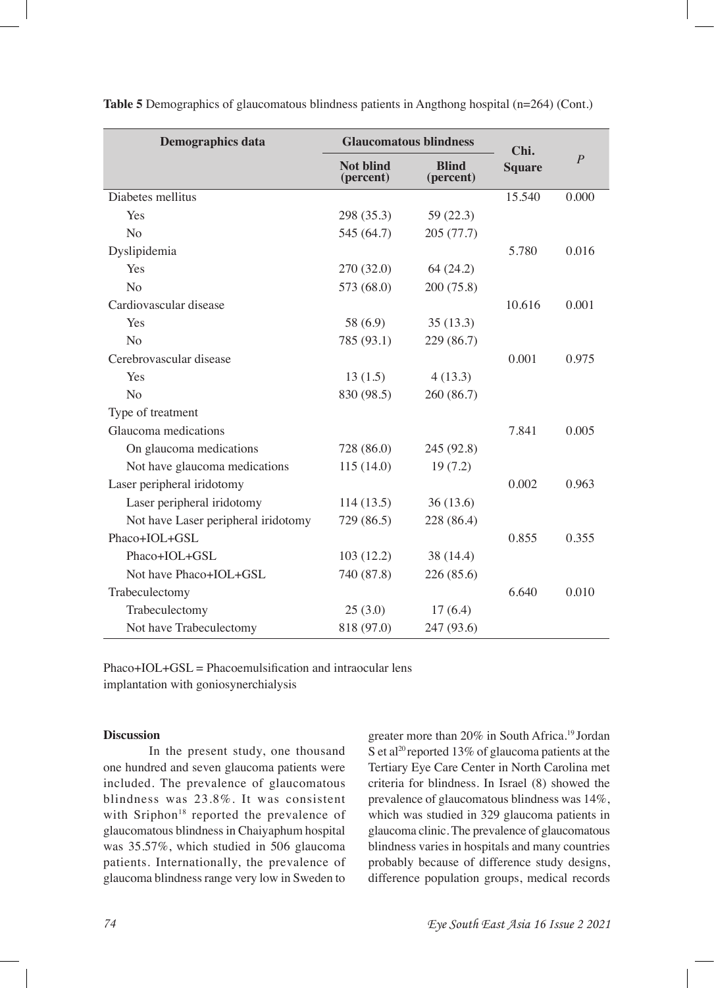| <b>Demographics data</b>            | <b>Glaucomatous blindness</b> | Chi.                      |               |                |
|-------------------------------------|-------------------------------|---------------------------|---------------|----------------|
|                                     | <b>Not blind</b><br>(percent) | <b>Blind</b><br>(percent) | <b>Square</b> | $\overline{P}$ |
| Diabetes mellitus                   |                               |                           | 15.540        | 0.000          |
| Yes                                 | 298 (35.3)                    | 59(22.3)                  |               |                |
| N <sub>o</sub>                      | 545 (64.7)                    | 205 (77.7)                |               |                |
| Dyslipidemia                        |                               |                           | 5.780         | 0.016          |
| Yes                                 | 270 (32.0)                    | 64(24.2)                  |               |                |
| No                                  | 573 (68.0)                    | 200 (75.8)                |               |                |
| Cardiovascular disease              |                               |                           | 10.616        | 0.001          |
| Yes                                 | 58 (6.9)                      | 35(13.3)                  |               |                |
| N <sub>o</sub>                      | 785 (93.1)                    | 229 (86.7)                |               |                |
| Cerebrovascular disease             |                               |                           | 0.001         | 0.975          |
| Yes                                 | 13(1.5)                       | 4(13.3)                   |               |                |
| N <sub>0</sub>                      | 830 (98.5)                    | 260 (86.7)                |               |                |
| Type of treatment                   |                               |                           |               |                |
| Glaucoma medications                |                               |                           | 7.841         | 0.005          |
| On glaucoma medications             | 728 (86.0)                    | 245 (92.8)                |               |                |
| Not have glaucoma medications       | 115(14.0)                     | 19(7.2)                   |               |                |
| Laser peripheral iridotomy          |                               |                           | 0.002         | 0.963          |
| Laser peripheral iridotomy          | 114(13.5)                     | 36(13.6)                  |               |                |
| Not have Laser peripheral iridotomy | 729 (86.5)                    | 228 (86.4)                |               |                |
| Phaco+IOL+GSL                       |                               |                           | 0.855         | 0.355          |
| Phaco+IOL+GSL                       | 103(12.2)                     | 38 (14.4)                 |               |                |
| Not have Phaco+IOL+GSL              | 740 (87.8)                    | 226 (85.6)                |               |                |
| Trabeculectomy                      |                               |                           | 6.640         | 0.010          |
| Trabeculectomy                      | 25(3.0)                       | 17(6.4)                   |               |                |
| Not have Trabeculectomy             | 818 (97.0)                    | 247 (93.6)                |               |                |

**Table 5** Demographics of glaucomatous blindness patients in Angthong hospital (n=264) (Cont.)

 $Phaco+IOL+GSL = Phacoemulsification and intraocular lens$ implantation with goniosynerchialysis

#### **Discussion**

In the present study, one thousand one hundred and seven glaucoma patients were included. The prevalence of glaucomatous blindness was 23.8%. It was consistent with Sriphon<sup>18</sup> reported the prevalence of glaucomatous blindness in Chaiyaphum hospital was 35.57%, which studied in 506 glaucoma patients. Internationally, the prevalence of glaucoma blindness range very low in Sweden to

greater more than 20% in South Africa.19 Jordan S et al<sup>20</sup> reported 13% of glaucoma patients at the Tertiary Eye Care Center in North Carolina met criteria for blindness. In Israel (8) showed the prevalence of glaucomatous blindness was 14%, which was studied in 329 glaucoma patients in glaucoma clinic. The prevalence of glaucomatous blindness varies in hospitals and many countries probably because of difference study designs, difference population groups, medical records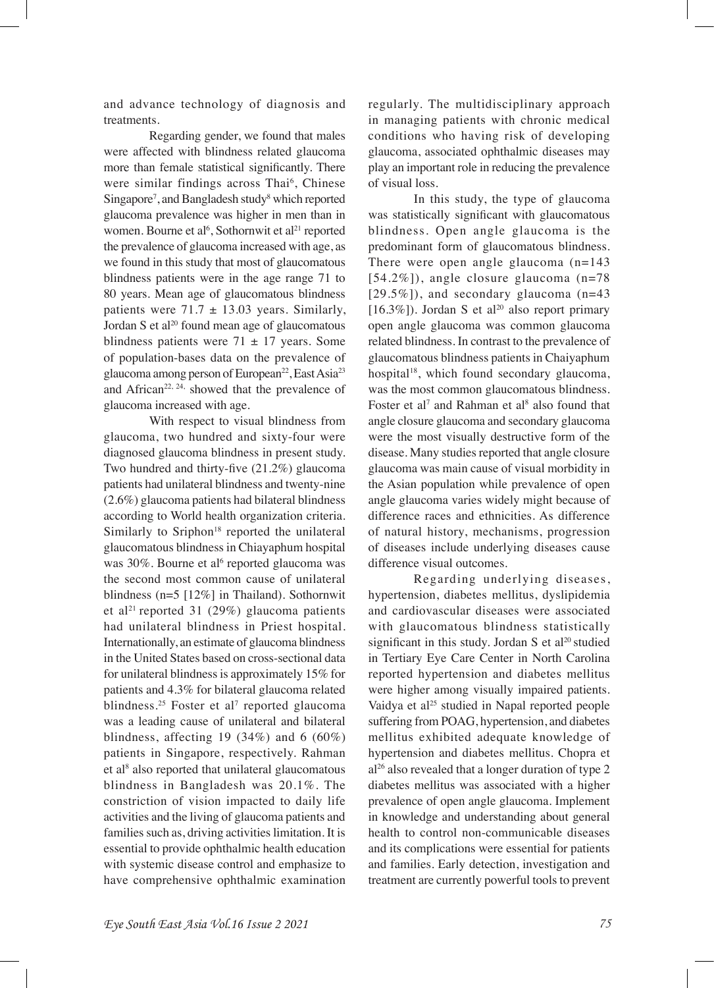and advance technology of diagnosis and treatments.

Regarding gender, we found that males were affected with blindness related glaucoma more than female statistical signifcantly. There were similar findings across Thai<sup>6</sup>, Chinese Singapore<sup>7</sup>, and Bangladesh study<sup>8</sup> which reported glaucoma prevalence was higher in men than in women. Bourne et al<sup>6</sup>, Sothornwit et al<sup>21</sup> reported the prevalence of glaucoma increased with age, as we found in this study that most of glaucomatous blindness patients were in the age range 71 to 80 years. Mean age of glaucomatous blindness patients were  $71.7 \pm 13.03$  years. Similarly, Jordan S et al<sup>20</sup> found mean age of glaucomatous blindness patients were  $71 \pm 17$  years. Some of population-bases data on the prevalence of glaucoma among person of European<sup>22</sup>, East Asia<sup>23</sup> and African<sup>22, 24,</sup> showed that the prevalence of glaucoma increased with age.

With respect to visual blindness from glaucoma, two hundred and sixty-four were diagnosed glaucoma blindness in present study. Two hundred and thirty-fve (21.2%) glaucoma patients had unilateral blindness and twenty-nine (2.6%) glaucoma patients had bilateral blindness according to World health organization criteria. Similarly to Sriphon $18$  reported the unilateral glaucomatous blindness in Chiayaphum hospital was 30%. Bourne et al<sup>6</sup> reported glaucoma was the second most common cause of unilateral blindness (n=5 [12%] in Thailand). Sothornwit et al<sup>21</sup> reported 31 (29%) glaucoma patients had unilateral blindness in Priest hospital. Internationally, an estimate of glaucoma blindness in the United States based on cross-sectional data for unilateral blindness is approximately 15% for patients and 4.3% for bilateral glaucoma related blindness.<sup>25</sup> Foster et al<sup>7</sup> reported glaucoma was a leading cause of unilateral and bilateral blindness, affecting 19  $(34%)$  and 6  $(60%)$ patients in Singapore, respectively. Rahman et al<sup>8</sup> also reported that unilateral glaucomatous blindness in Bangladesh was 20.1%. The constriction of vision impacted to daily life activities and the living of glaucoma patients and families such as, driving activities limitation. It is essential to provide ophthalmic health education with systemic disease control and emphasize to have comprehensive ophthalmic examination

regularly. The multidisciplinary approach in managing patients with chronic medical conditions who having risk of developing glaucoma, associated ophthalmic diseases may play an important role in reducing the prevalence of visual loss.

In this study, the type of glaucoma was statistically signifcant with glaucomatous blindness. Open angle glaucoma is the predominant form of glaucomatous blindness. There were open angle glaucoma (n=143 [54.2%]), angle closure glaucoma (n=78  $[29.5\%]$ ), and secondary glaucoma (n=43) [16.3%]). Jordan S et al<sup>20</sup> also report primary open angle glaucoma was common glaucoma related blindness. In contrast to the prevalence of glaucomatous blindness patients in Chaiyaphum hospital<sup>18</sup>, which found secondary glaucoma, was the most common glaucomatous blindness. Foster et al<sup>7</sup> and Rahman et al<sup>8</sup> also found that angle closure glaucoma and secondary glaucoma were the most visually destructive form of the disease. Many studies reported that angle closure glaucoma was main cause of visual morbidity in the Asian population while prevalence of open angle glaucoma varies widely might because of difference races and ethnicities. As difference of natural history, mechanisms, progression of diseases include underlying diseases cause difference visual outcomes.

Regarding underlying diseases, hypertension, diabetes mellitus, dyslipidemia and cardiovascular diseases were associated with glaucomatous blindness statistically significant in this study. Jordan S et  $al^{20}$  studied in Tertiary Eye Care Center in North Carolina reported hypertension and diabetes mellitus were higher among visually impaired patients. Vaidya et al<sup>25</sup> studied in Napal reported people suffering from POAG, hypertension, and diabetes mellitus exhibited adequate knowledge of hypertension and diabetes mellitus. Chopra et al26 also revealed that a longer duration of type 2 diabetes mellitus was associated with a higher prevalence of open angle glaucoma. Implement in knowledge and understanding about general health to control non-communicable diseases and its complications were essential for patients and families. Early detection, investigation and treatment are currently powerful tools to prevent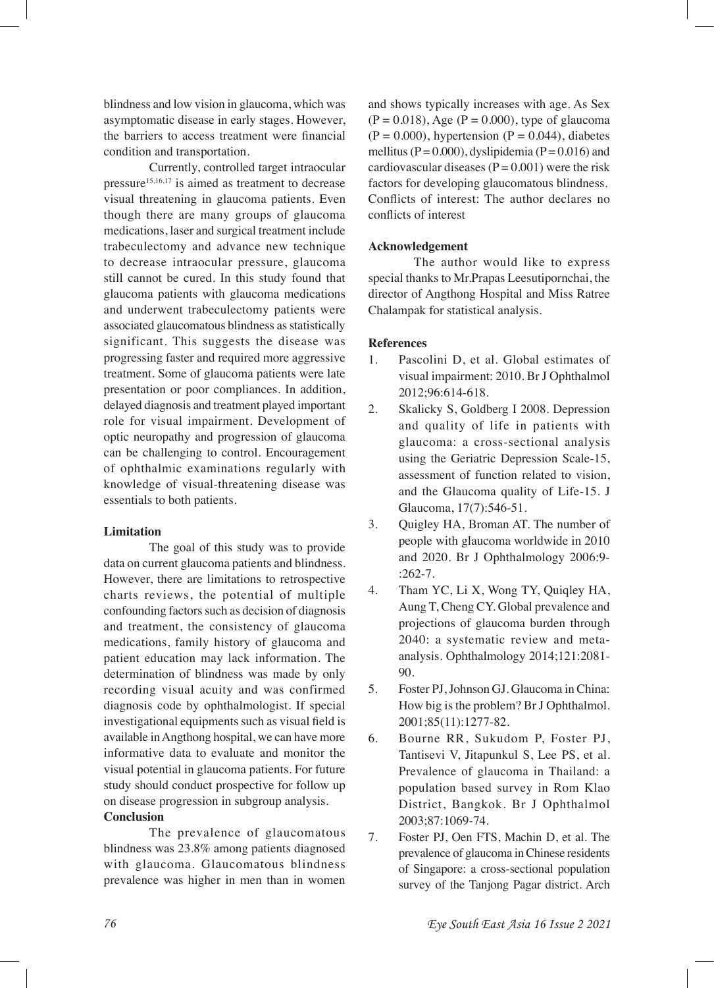blindness and low vision in glaucoma, which was asymptomatic disease in early stages. However, the barriers to access treatment were fnancial condition and transportation.

Currently, controlled target intraocular pressure15,16,17 is aimed as treatment to decrease visual threatening in glaucoma patients. Even though there are many groups of glaucoma medications, laser and surgical treatment include trabeculectomy and advance new technique to decrease intraocular pressure, glaucoma still cannot be cured. In this study found that glaucoma patients with glaucoma medications and underwent trabeculectomy patients were associated glaucomatous blindness as statistically significant. This suggests the disease was progressing faster and required more aggressive treatment. Some of glaucoma patients were late presentation or poor compliances. In addition, delayed diagnosis and treatment played important role for visual impairment. Development of optic neuropathy and progression of glaucoma can be challenging to control. Encouragement of ophthalmic examinations regularly with knowledge of visual-threatening disease was essentials to both patients.

#### **Limitation**

The goal of this study was to provide data on current glaucoma patients and blindness. However, there are limitations to retrospective charts reviews, the potential of multiple confounding factors such as decision of diagnosis and treatment, the consistency of glaucoma medications, family history of glaucoma and patient education may lack information. The determination of blindness was made by only recording visual acuity and was confirmed diagnosis code by ophthalmologist. If special investigational equipments such as visual feld is available in Angthong hospital, we can have more informative data to evaluate and monitor the visual potential in glaucoma patients. For future study should conduct prospective for follow up on disease progression in subgroup analysis. **Conclusion** 

The prevalence of glaucomatous blindness was 23.8% among patients diagnosed with glaucoma. Glaucomatous blindness prevalence was higher in men than in women

and shows typically increases with age. As Sex  $(P = 0.018)$ , Age  $(P = 0.000)$ , type of glaucoma  $(P = 0.000)$ , hypertension  $(P = 0.044)$ , diabetes mellitus ( $P = 0.000$ ), dyslipidemia ( $P = 0.016$ ) and cardiovascular diseases ( $P = 0.001$ ) were the risk factors for developing glaucomatous blindness. Conficts of interest: The author declares no conficts of interest

#### **Acknowledgement**

The author would like to express special thanks to Mr.Prapas Leesutipornchai, the director of Angthong Hospital and Miss Ratree Chalampak for statistical analysis.

#### **References**

- 1. Pascolini D, et al. Global estimates of visual impairment: 2010. Br J Ophthalmol 2012;96:614-618.
- 2. Skalicky S, Goldberg I 2008. Depression and quality of life in patients with glaucoma: a cross-sectional analysis using the Geriatric Depression Scale-15, assessment of function related to vision, and the Glaucoma quality of Life-15. J Glaucoma, 17(7):546-51.
- 3. Quigley HA, Broman AT. The number of people with glaucoma worldwide in 2010 and 2020. Br J Ophthalmology 2006:9- :262-7.
- 4. Tham YC, Li X, Wong TY, Quiqley HA, Aung T, Cheng CY. Global prevalence and projections of glaucoma burden through 2040: a systematic review and metaanalysis. Ophthalmology 2014;121:2081- 90.
- 5. Foster PJ, Johnson GJ. Glaucoma in China: How big is the problem? Br J Ophthalmol. 2001;85(11):1277-82.
- 6. Bourne RR, Sukudom P, Foster PJ, Tantisevi V, Jitapunkul S, Lee PS, et al. Prevalence of glaucoma in Thailand: a population based survey in Rom Klao District, Bangkok. Br J Ophthalmol 2003;87:1069-74.
- 7. Foster PJ, Oen FTS, Machin D, et al. The prevalence of glaucoma in Chinese residents of Singapore: a cross-sectional population survey of the Tanjong Pagar district. Arch